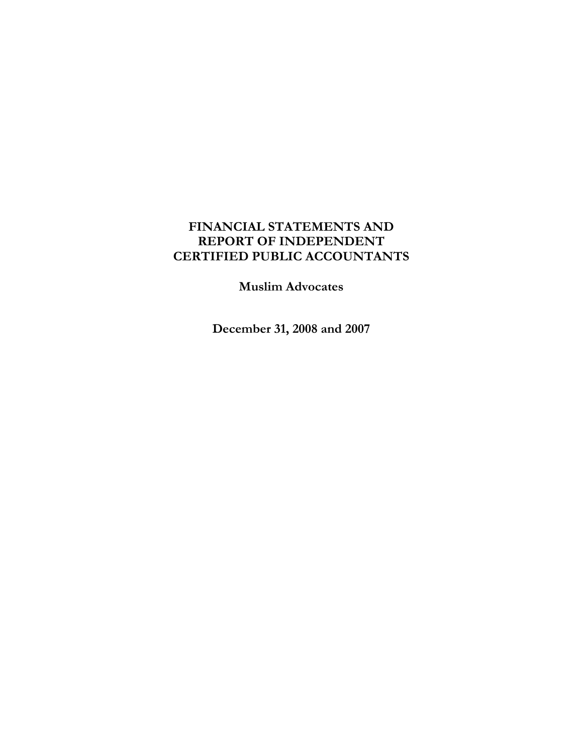# **FINANCIAL STATEMENTS AND REPORT OF INDEPENDENT CERTIFIED PUBLIC ACCOUNTANTS**

**Muslim Advocates** 

**December 31, 2008 and 2007**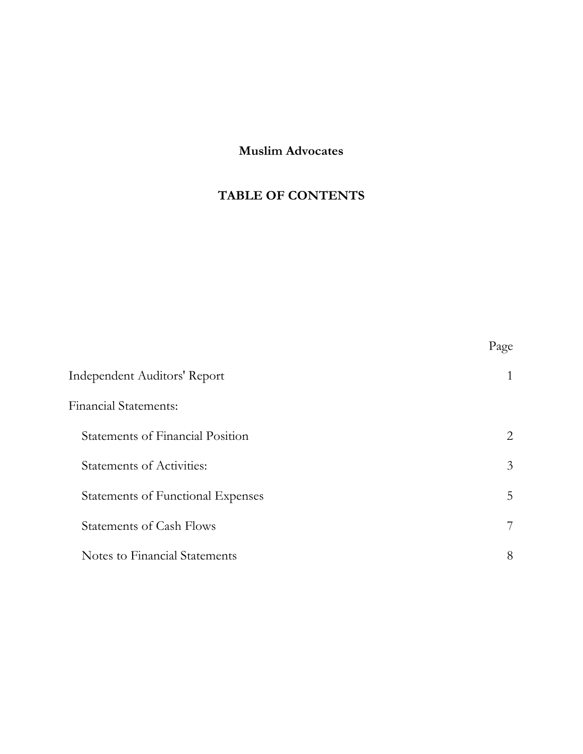# **Muslim Advocates**

# **TABLE OF CONTENTS**

|                                          | Page |
|------------------------------------------|------|
| Independent Auditors' Report             | 1    |
| <b>Financial Statements:</b>             |      |
| Statements of Financial Position         | 2    |
| <b>Statements of Activities:</b>         | 3    |
| <b>Statements of Functional Expenses</b> | 5    |
| <b>Statements of Cash Flows</b>          | 7    |
| Notes to Financial Statements            | 8    |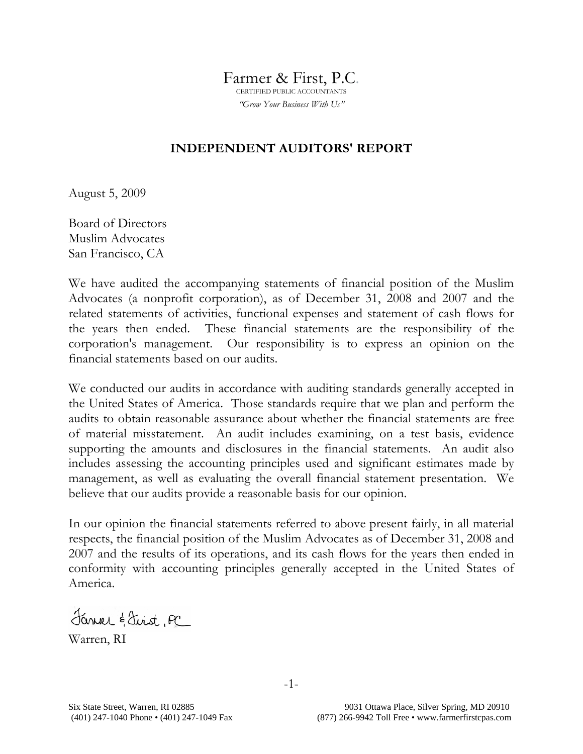Farmer & First, P.C.

*"Grow Your Business With Us"*

# **INDEPENDENT AUDITORS' REPORT**

August 5, 2009

Board of Directors Muslim Advocates San Francisco, CA

We have audited the accompanying statements of financial position of the Muslim Advocates (a nonprofit corporation), as of December 31, 2008 and 2007 and the related statements of activities, functional expenses and statement of cash flows for the years then ended. These financial statements are the responsibility of the corporation's management. Our responsibility is to express an opinion on the financial statements based on our audits.

We conducted our audits in accordance with auditing standards generally accepted in the United States of America. Those standards require that we plan and perform the audits to obtain reasonable assurance about whether the financial statements are free of material misstatement. An audit includes examining, on a test basis, evidence supporting the amounts and disclosures in the financial statements. An audit also includes assessing the accounting principles used and significant estimates made by management, as well as evaluating the overall financial statement presentation. We believe that our audits provide a reasonable basis for our opinion.

In our opinion the financial statements referred to above present fairly, in all material respects, the financial position of the Muslim Advocates as of December 31, 2008 and 2007 and the results of its operations, and its cash flows for the years then ended in conformity with accounting principles generally accepted in the United States of America.

Janver & Sirst, PC

Warren, RI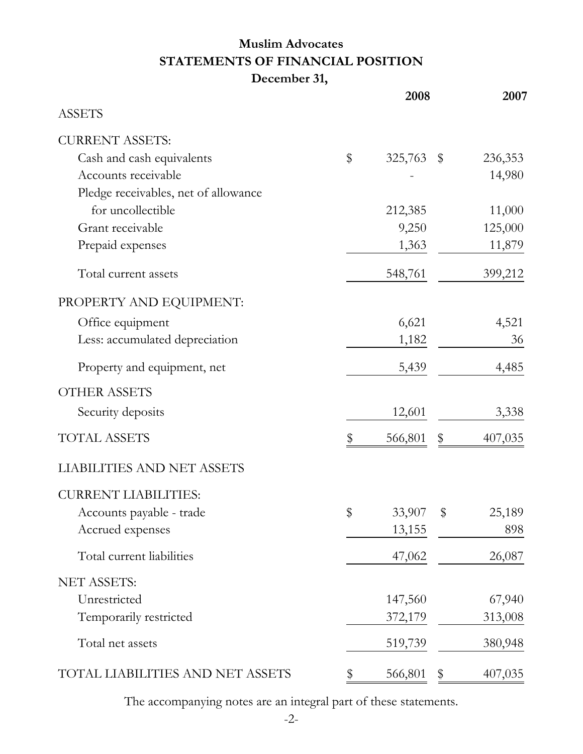# **Muslim Advocates STATEMENTS OF FINANCIAL POSITION December 31,**

|                                      | 2008             | 2007          |
|--------------------------------------|------------------|---------------|
| <b>ASSETS</b>                        |                  |               |
| <b>CURRENT ASSETS:</b>               |                  |               |
| Cash and cash equivalents            | \$<br>325,763 \$ | 236,353       |
| Accounts receivable                  |                  | 14,980        |
| Pledge receivables, net of allowance |                  |               |
| for uncollectible                    | 212,385          | 11,000        |
| Grant receivable                     | 9,250            | 125,000       |
| Prepaid expenses                     | 1,363            | 11,879        |
| Total current assets                 | 548,761          | 399,212       |
| PROPERTY AND EQUIPMENT:              |                  |               |
| Office equipment                     | 6,621            | 4,521         |
| Less: accumulated depreciation       | 1,182            | 36            |
| Property and equipment, net          | 5,439            | 4,485         |
| <b>OTHER ASSETS</b>                  |                  |               |
| Security deposits                    | 12,601           | 3,338         |
| <b>TOTAL ASSETS</b>                  | 566,801          | \$<br>407,035 |
| <b>LIABILITIES AND NET ASSETS</b>    |                  |               |
| <b>CURRENT LIABILITIES:</b>          |                  |               |
| Accounts payable - trade             | \$<br>33,907     | \$<br>25,189  |
| Accrued expenses                     | 13,155           | 898           |
| Total current liabilities            | 47,062           | 26,087        |
| <b>NET ASSETS:</b>                   |                  |               |
| Unrestricted                         | 147,560          | 67,940        |
| Temporarily restricted               | 372,179          | 313,008       |
| Total net assets                     | 519,739          | 380,948       |
| TOTAL LIABILITIES AND NET ASSETS     | 566,801          | \$<br>407,035 |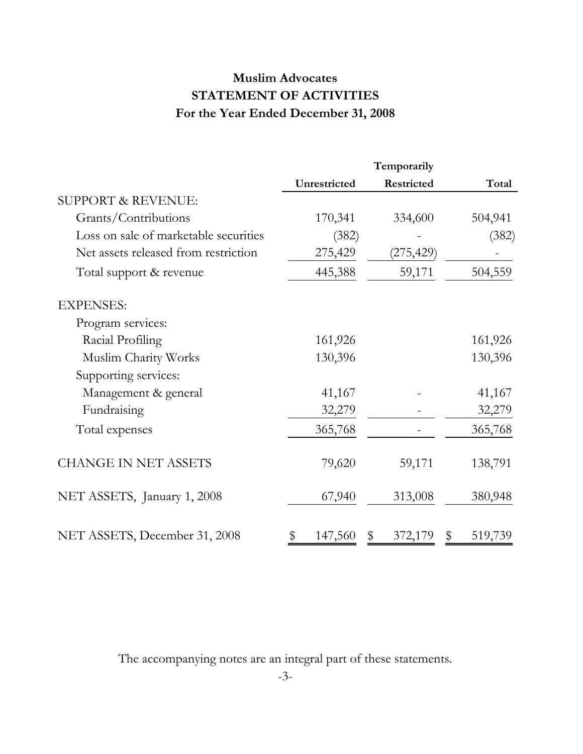# **Muslim Advocates STATEMENT OF ACTIVITIES For the Year Ended December 31, 2008**

|                                       | Temporarily   |            |         |  |  |
|---------------------------------------|---------------|------------|---------|--|--|
|                                       | Unrestricted  | Restricted | Total   |  |  |
| <b>SUPPORT &amp; REVENUE:</b>         |               |            |         |  |  |
| Grants/Contributions                  | 170,341       | 334,600    | 504,941 |  |  |
| Loss on sale of marketable securities | (382)         |            | (382)   |  |  |
| Net assets released from restriction  | 275,429       | (275,429)  |         |  |  |
| Total support & revenue               | 445,388       | 59,171     | 504,559 |  |  |
| <b>EXPENSES:</b>                      |               |            |         |  |  |
| Program services:                     |               |            |         |  |  |
| Racial Profiling                      | 161,926       |            | 161,926 |  |  |
| Muslim Charity Works                  | 130,396       |            | 130,396 |  |  |
| Supporting services:                  |               |            |         |  |  |
| Management & general                  | 41,167        |            | 41,167  |  |  |
| Fundraising                           | 32,279        |            | 32,279  |  |  |
| Total expenses                        | 365,768       |            | 365,768 |  |  |
| <b>CHANGE IN NET ASSETS</b>           | 79,620        | 59,171     | 138,791 |  |  |
| NET ASSETS, January 1, 2008           | 67,940        | 313,008    | 380,948 |  |  |
| NET ASSETS, December 31, 2008         | 147,560<br>\$ | 372,179    | 519,739 |  |  |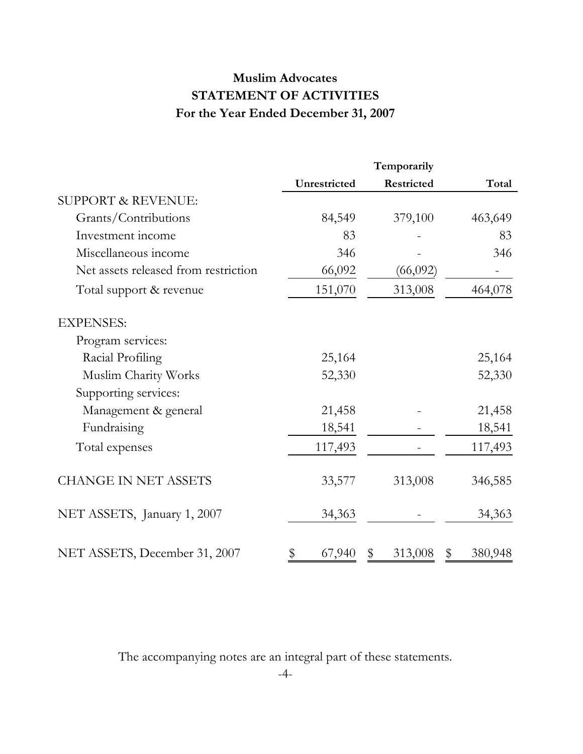# **Muslim Advocates STATEMENT OF ACTIVITIES For the Year Ended December 31, 2007**

|                                      | Temporarily  |            |               |  |  |
|--------------------------------------|--------------|------------|---------------|--|--|
|                                      | Unrestricted | Restricted | Total         |  |  |
| <b>SUPPORT &amp; REVENUE:</b>        |              |            |               |  |  |
| Grants/Contributions                 | 84,549       | 379,100    | 463,649       |  |  |
| Investment income                    | 83           |            | 83            |  |  |
| Miscellaneous income                 | 346          |            | 346           |  |  |
| Net assets released from restriction | 66,092       | (66,092)   |               |  |  |
| Total support & revenue              | 151,070      | 313,008    | 464,078       |  |  |
| <b>EXPENSES:</b>                     |              |            |               |  |  |
| Program services:                    |              |            |               |  |  |
| Racial Profiling                     | 25,164       |            | 25,164        |  |  |
| Muslim Charity Works                 | 52,330       |            | 52,330        |  |  |
| Supporting services:                 |              |            |               |  |  |
| Management & general                 | 21,458       |            | 21,458        |  |  |
| Fundraising                          | 18,541       |            | 18,541        |  |  |
| Total expenses                       | 117,493      |            | 117,493       |  |  |
| <b>CHANGE IN NET ASSETS</b>          | 33,577       | 313,008    | 346,585       |  |  |
| NET ASSETS, January 1, 2007          | 34,363       |            | 34,363        |  |  |
| NET ASSETS, December 31, 2007        | \$<br>67,940 | 313,008    | 380,948<br>\$ |  |  |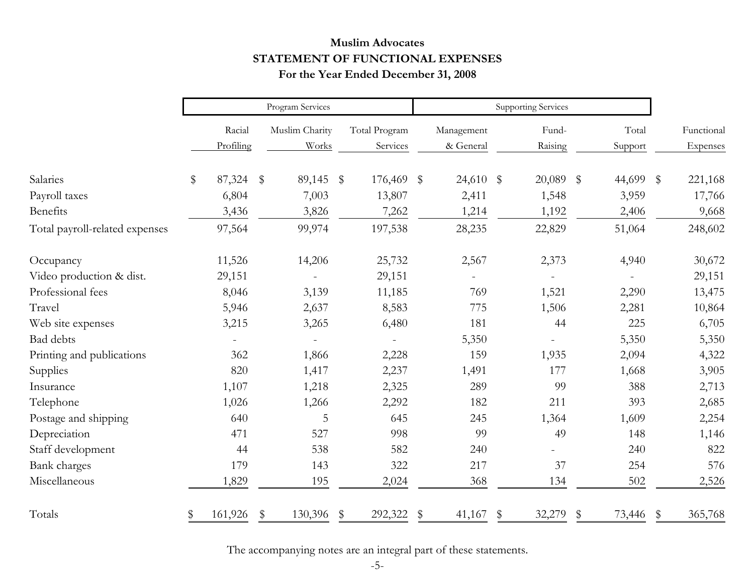# **Muslim Advocates STATEMENT OF FUNCTIONAL EXPENSES For the Year Ended December 31, 2008**

|                                | Program Services |                     |       |                         |                         |                           | <b>Supporting Services</b> |                         |    |                  |                         |                  |    |                        |
|--------------------------------|------------------|---------------------|-------|-------------------------|-------------------------|---------------------------|----------------------------|-------------------------|----|------------------|-------------------------|------------------|----|------------------------|
|                                |                  | Racial<br>Profiling |       | Muslim Charity<br>Works |                         | Total Program<br>Services |                            | Management<br>& General |    | Fund-<br>Raising |                         | Total<br>Support |    | Functional<br>Expenses |
| Salaries                       | \$               | 87,324              | $\$\$ | 89,145                  | $\sqrt[6]{\frac{1}{2}}$ | 176,469 \$                |                            | $24,610$ \$             |    | 20,089           | $\sqrt[6]{\frac{1}{2}}$ | 44,699 \$        |    | 221,168                |
| Payroll taxes                  |                  | 6,804               |       | 7,003                   |                         | 13,807                    |                            | 2,411                   |    | 1,548            |                         | 3,959            |    | 17,766                 |
| Benefits                       |                  | 3,436               |       | 3,826                   |                         | 7,262                     |                            | 1,214                   |    | 1,192            |                         | 2,406            |    | 9,668                  |
| Total payroll-related expenses |                  | 97,564              |       | 99,974                  |                         | 197,538                   |                            | 28,235                  |    | 22,829           |                         | 51,064           |    | 248,602                |
| Occupancy                      |                  | 11,526              |       | 14,206                  |                         | 25,732                    |                            | 2,567                   |    | 2,373            |                         | 4,940            |    | 30,672                 |
| Video production & dist.       |                  | 29,151              |       |                         |                         | 29,151                    |                            |                         |    |                  |                         |                  |    | 29,151                 |
| Professional fees              |                  | 8,046               |       | 3,139                   |                         | 11,185                    |                            | 769                     |    | 1,521            |                         | 2,290            |    | 13,475                 |
| Travel                         |                  | 5,946               |       | 2,637                   |                         | 8,583                     |                            | 775                     |    | 1,506            |                         | 2,281            |    | 10,864                 |
| Web site expenses              |                  | 3,215               |       | 3,265                   |                         | 6,480                     |                            | 181                     |    | 44               |                         | 225              |    | 6,705                  |
| Bad debts                      |                  |                     |       |                         |                         |                           |                            | 5,350                   |    |                  |                         | 5,350            |    | 5,350                  |
| Printing and publications      |                  | 362                 |       | 1,866                   |                         | 2,228                     |                            | 159                     |    | 1,935            |                         | 2,094            |    | 4,322                  |
| Supplies                       |                  | 820                 |       | 1,417                   |                         | 2,237                     |                            | 1,491                   |    | 177              |                         | 1,668            |    | 3,905                  |
| Insurance                      |                  | 1,107               |       | 1,218                   |                         | 2,325                     |                            | 289                     |    | 99               |                         | 388              |    | 2,713                  |
| Telephone                      |                  | 1,026               |       | 1,266                   |                         | 2,292                     |                            | 182                     |    | 211              |                         | 393              |    | 2,685                  |
| Postage and shipping           |                  | 640                 |       | 5                       |                         | 645                       |                            | 245                     |    | 1,364            |                         | 1,609            |    | 2,254                  |
| Depreciation                   |                  | 471                 |       | 527                     |                         | 998                       |                            | 99                      |    | 49               |                         | 148              |    | 1,146                  |
| Staff development              |                  | 44                  |       | 538                     |                         | 582                       |                            | 240                     |    |                  |                         | 240              |    | 822                    |
| Bank charges                   |                  | 179                 |       | 143                     |                         | 322                       |                            | 217                     |    | 37               |                         | 254              |    | 576                    |
| Miscellaneous                  |                  | 1,829               |       | 195                     |                         | 2,024                     |                            | 368                     |    | 134              |                         | 502              |    | 2,526                  |
| Totals                         | \$               | 161,926             | \$    | 130,396                 | \$                      | 292,322                   | \$                         | 41,167                  | \$ | 32,279           | \$                      | 73,446           | \$ | 365,768                |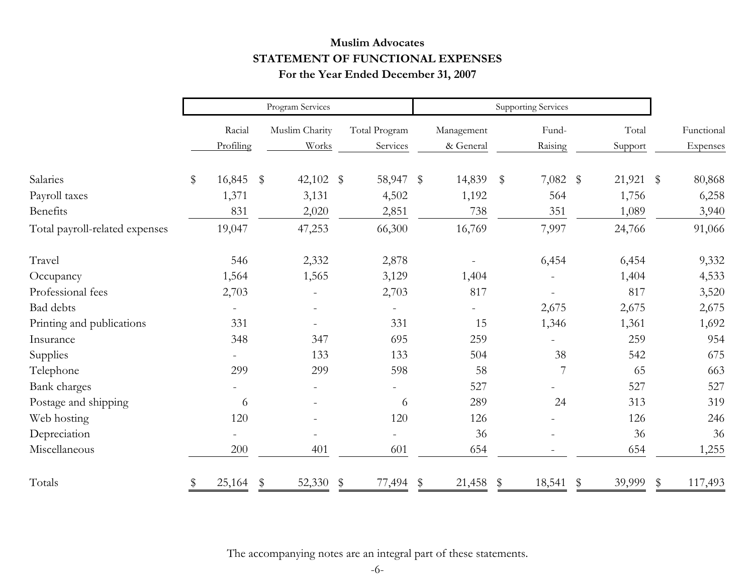# **Muslim Advocates STATEMENT OF FUNCTIONAL EXPENSES For the Year Ended December 31, 2007**

|                                | Program Services |                     |    |                         |    | <b>Supporting Services</b> |    |                         |                         |                  |    |                  |    |                        |
|--------------------------------|------------------|---------------------|----|-------------------------|----|----------------------------|----|-------------------------|-------------------------|------------------|----|------------------|----|------------------------|
|                                |                  | Racial<br>Profiling |    | Muslim Charity<br>Works |    | Total Program<br>Services  |    | Management<br>& General |                         | Fund-<br>Raising |    | Total<br>Support |    | Functional<br>Expenses |
| Salaries                       | \$               | 16,845              | \$ | 42,102 $\frac{1}{2}$    |    | 58,947 \$                  |    | 14,839                  | $\sqrt[6]{\frac{1}{2}}$ | $7,082$ \$       |    | $21,921$ \$      |    | 80,868                 |
| Payroll taxes                  |                  | 1,371               |    | 3,131                   |    | 4,502                      |    | 1,192                   |                         | 564              |    | 1,756            |    | 6,258                  |
| <b>Benefits</b>                |                  | 831                 |    | 2,020                   |    | 2,851                      |    | 738                     |                         | 351              |    | 1,089            |    | 3,940                  |
| Total payroll-related expenses |                  | 19,047              |    | 47,253                  |    | 66,300                     |    | 16,769                  |                         | 7,997            |    | 24,766           |    | 91,066                 |
| Travel                         |                  | 546                 |    | 2,332                   |    | 2,878                      |    |                         |                         | 6,454            |    | 6,454            |    | 9,332                  |
| Occupancy                      |                  | 1,564               |    | 1,565                   |    | 3,129                      |    | 1,404                   |                         |                  |    | 1,404            |    | 4,533                  |
| Professional fees              |                  | 2,703               |    |                         |    | 2,703                      |    | 817                     |                         |                  |    | 817              |    | 3,520                  |
| Bad debts                      |                  |                     |    |                         |    |                            |    |                         |                         | 2,675            |    | 2,675            |    | 2,675                  |
| Printing and publications      |                  | 331                 |    |                         |    | 331                        |    | 15                      |                         | 1,346            |    | 1,361            |    | 1,692                  |
| Insurance                      |                  | 348                 |    | 347                     |    | 695                        |    | 259                     |                         |                  |    | 259              |    | 954                    |
| Supplies                       |                  |                     |    | 133                     |    | 133                        |    | 504                     |                         | 38               |    | 542              |    | 675                    |
| Telephone                      |                  | 299                 |    | 299                     |    | 598                        |    | 58                      |                         | 7                |    | 65               |    | 663                    |
| Bank charges                   |                  |                     |    |                         |    |                            |    | 527                     |                         |                  |    | 527              |    | 527                    |
| Postage and shipping           |                  | 6                   |    |                         |    | 6                          |    | 289                     |                         | 24               |    | 313              |    | 319                    |
| Web hosting                    |                  | 120                 |    |                         |    | 120                        |    | 126                     |                         |                  |    | 126              |    | 246                    |
| Depreciation                   |                  |                     |    |                         |    |                            |    | 36                      |                         |                  |    | 36               |    | 36                     |
| Miscellaneous                  |                  | 200                 |    | 401                     |    | 601                        |    | 654                     |                         |                  |    | 654              |    | 1,255                  |
| Totals                         |                  | 25,164              | \$ | 52,330                  | \$ | 77,494                     | \$ | 21,458                  | \$                      | 18,541           | \$ | 39,999           | \$ | 117,493                |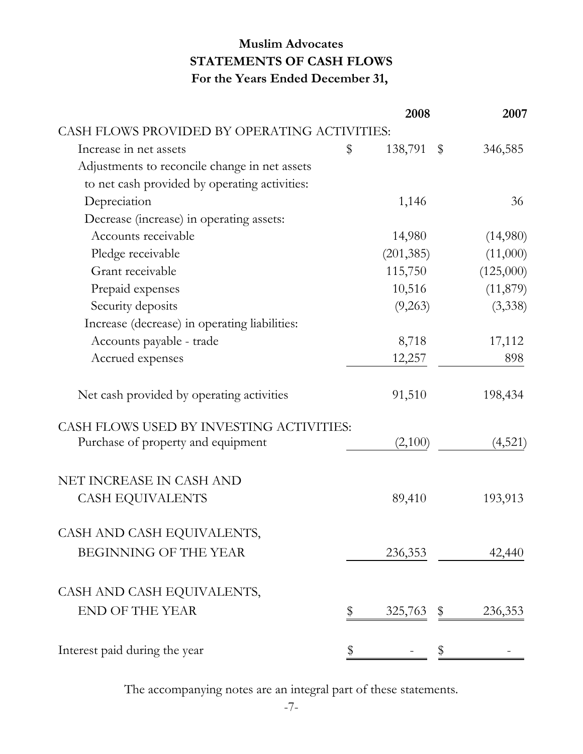# **Muslim Advocates STATEMENTS OF CASH FLOWS For the Years Ended December 31,**

|                                               | 2008          |       | 2007      |
|-----------------------------------------------|---------------|-------|-----------|
| CASH FLOWS PROVIDED BY OPERATING ACTIVITIES:  |               |       |           |
| Increase in net assets                        | \$<br>138,791 | $\$\$ | 346,585   |
| Adjustments to reconcile change in net assets |               |       |           |
| to net cash provided by operating activities: |               |       |           |
| Depreciation                                  | 1,146         |       | 36        |
| Decrease (increase) in operating assets:      |               |       |           |
| Accounts receivable                           | 14,980        |       | (14,980)  |
| Pledge receivable                             | (201, 385)    |       | (11,000)  |
| Grant receivable                              | 115,750       |       | (125,000) |
| Prepaid expenses                              | 10,516        |       | (11, 879) |
| Security deposits                             | (9,263)       |       | (3,338)   |
| Increase (decrease) in operating liabilities: |               |       |           |
| Accounts payable - trade                      | 8,718         |       | 17,112    |
| Accrued expenses                              | 12,257        |       | 898       |
| Net cash provided by operating activities     | 91,510        |       | 198,434   |
| CASH FLOWS USED BY INVESTING ACTIVITIES:      |               |       |           |
| Purchase of property and equipment            | (2,100)       |       | (4,521)   |
| NET INCREASE IN CASH AND                      |               |       |           |
| <b>CASH EQUIVALENTS</b>                       | 89,410        |       | 193,913   |
| CASH AND CASH EQUIVALENTS,                    |               |       |           |
| <b>BEGINNING OF THE YEAR</b>                  | 236,353       |       | 42,440    |
| CASH AND CASH EQUIVALENTS,                    |               |       |           |
| <b>END OF THE YEAR</b>                        | 325,763       | \$    | 236,353   |
|                                               |               |       |           |
| Interest paid during the year                 | \$            | \$    |           |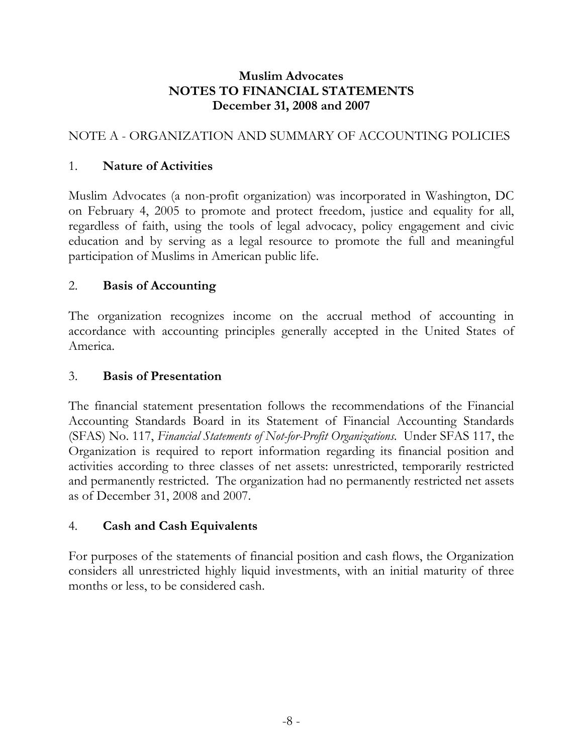# NOTE A - ORGANIZATION AND SUMMARY OF ACCOUNTING POLICIES

# 1. **Nature of Activities**

Muslim Advocates (a non-profit organization) was incorporated in Washington, DC on February 4, 2005 to promote and protect freedom, justice and equality for all, regardless of faith, using the tools of legal advocacy, policy engagement and civic education and by serving as a legal resource to promote the full and meaningful participation of Muslims in American public life.

# 2. **Basis of Accounting**

The organization recognizes income on the accrual method of accounting in accordance with accounting principles generally accepted in the United States of America.

#### 3. **Basis of Presentation**

The financial statement presentation follows the recommendations of the Financial Accounting Standards Board in its Statement of Financial Accounting Standards (SFAS) No. 117, *Financial Statements of Not-for-Profit Organizations*. Under SFAS 117, the Organization is required to report information regarding its financial position and activities according to three classes of net assets: unrestricted, temporarily restricted and permanently restricted. The organization had no permanently restricted net assets as of December 31, 2008 and 2007.

# 4. **Cash and Cash Equivalents**

For purposes of the statements of financial position and cash flows, the Organization considers all unrestricted highly liquid investments, with an initial maturity of three months or less, to be considered cash.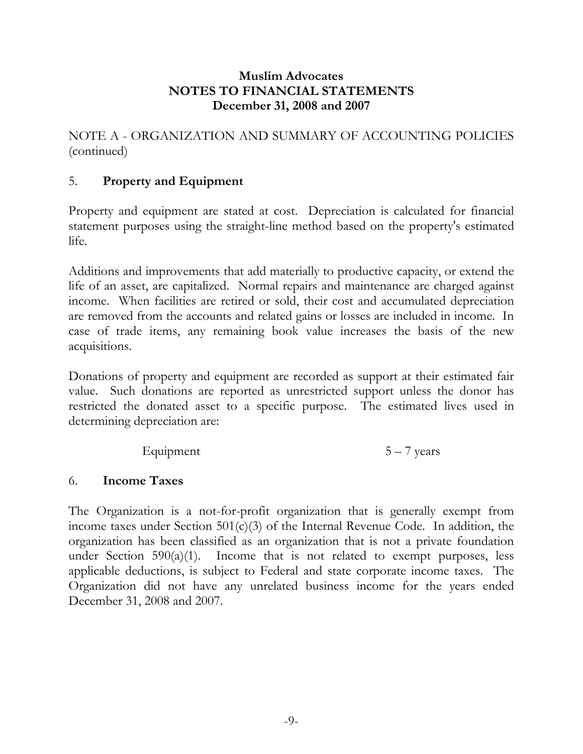NOTE A - ORGANIZATION AND SUMMARY OF ACCOUNTING POLICIES (continued)

# 5. **Property and Equipment**

Property and equipment are stated at cost. Depreciation is calculated for financial statement purposes using the straight-line method based on the property's estimated life.

Additions and improvements that add materially to productive capacity, or extend the life of an asset, are capitalized. Normal repairs and maintenance are charged against income. When facilities are retired or sold, their cost and accumulated depreciation are removed from the accounts and related gains or losses are included in income. In case of trade items, any remaining book value increases the basis of the new acquisitions.

Donations of property and equipment are recorded as support at their estimated fair value. Such donations are reported as unrestricted support unless the donor has restricted the donated asset to a specific purpose. The estimated lives used in determining depreciation are:

$$
Equipment \t\t 5-7 years
$$

# 6. **Income Taxes**

The Organization is a not-for-profit organization that is generally exempt from income taxes under Section  $501(c)(3)$  of the Internal Revenue Code. In addition, the organization has been classified as an organization that is not a private foundation under Section  $590(a)(1)$ . Income that is not related to exempt purposes, less applicable deductions, is subject to Federal and state corporate income taxes. The Organization did not have any unrelated business income for the years ended December 31, 2008 and 2007.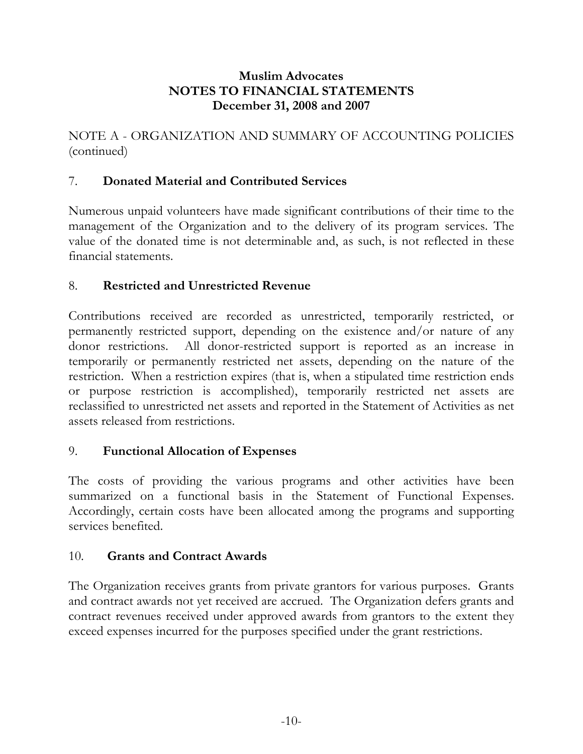NOTE A - ORGANIZATION AND SUMMARY OF ACCOUNTING POLICIES (continued)

# 7. **Donated Material and Contributed Services**

Numerous unpaid volunteers have made significant contributions of their time to the management of the Organization and to the delivery of its program services. The value of the donated time is not determinable and, as such, is not reflected in these financial statements.

#### 8. **Restricted and Unrestricted Revenue**

Contributions received are recorded as unrestricted, temporarily restricted, or permanently restricted support, depending on the existence and/or nature of any donor restrictions. All donor-restricted support is reported as an increase in temporarily or permanently restricted net assets, depending on the nature of the restriction. When a restriction expires (that is, when a stipulated time restriction ends or purpose restriction is accomplished), temporarily restricted net assets are reclassified to unrestricted net assets and reported in the Statement of Activities as net assets released from restrictions.

# 9. **Functional Allocation of Expenses**

The costs of providing the various programs and other activities have been summarized on a functional basis in the Statement of Functional Expenses. Accordingly, certain costs have been allocated among the programs and supporting services benefited.

#### 10. **Grants and Contract Awards**

The Organization receives grants from private grantors for various purposes. Grants and contract awards not yet received are accrued. The Organization defers grants and contract revenues received under approved awards from grantors to the extent they exceed expenses incurred for the purposes specified under the grant restrictions.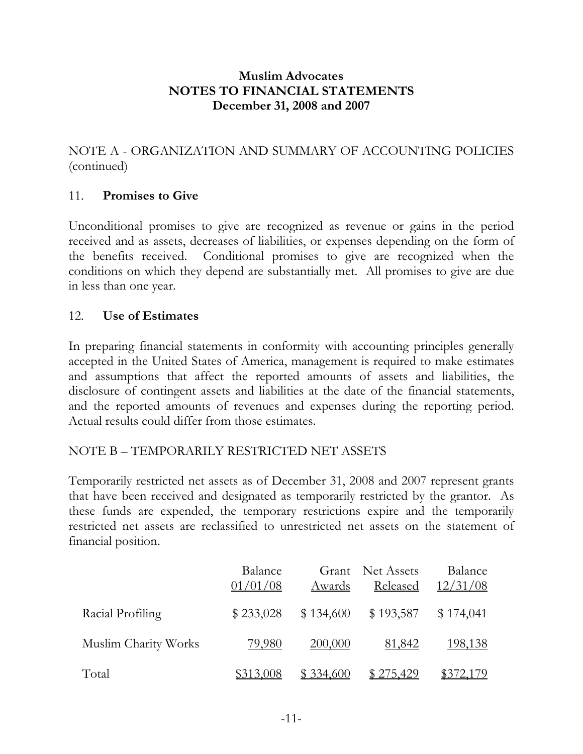NOTE A - ORGANIZATION AND SUMMARY OF ACCOUNTING POLICIES (continued)

#### 11. **Promises to Give**

Unconditional promises to give are recognized as revenue or gains in the period received and as assets, decreases of liabilities, or expenses depending on the form of the benefits received. Conditional promises to give are recognized when the conditions on which they depend are substantially met. All promises to give are due in less than one year.

#### 12. **Use of Estimates**

In preparing financial statements in conformity with accounting principles generally accepted in the United States of America, management is required to make estimates and assumptions that affect the reported amounts of assets and liabilities, the disclosure of contingent assets and liabilities at the date of the financial statements, and the reported amounts of revenues and expenses during the reporting period. Actual results could differ from those estimates.

# NOTE B – TEMPORARILY RESTRICTED NET ASSETS

Temporarily restricted net assets as of December 31, 2008 and 2007 represent grants that have been received and designated as temporarily restricted by the grantor. As these funds are expended, the temporary restrictions expire and the temporarily restricted net assets are reclassified to unrestricted net assets on the statement of financial position.

|                      | Balance<br>01/01/08 | Awards    | Grant Net Assets<br>Released | Balance<br>12/31/08 |
|----------------------|---------------------|-----------|------------------------------|---------------------|
| Racial Profiling     | \$233,028           | \$134,600 | \$193,587                    | \$174,041           |
| Muslim Charity Works | 79,980              | 200,000   | 81,842                       | <u>198,138</u>      |
| Total                | \$313,008           | \$334,600 | <u>\$275,429</u>             | \$372,179           |